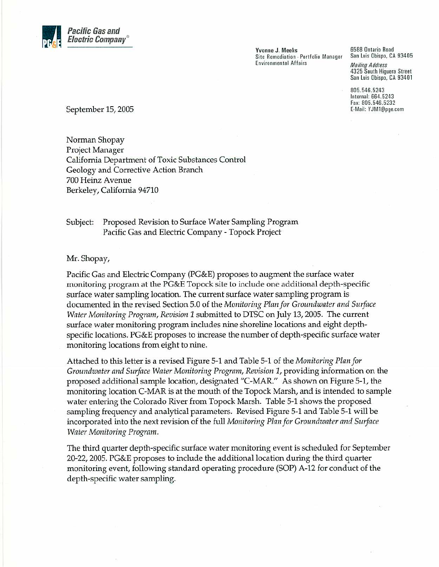

Yvonne J. Meeks Site Remediation - Portfolio Manager **Environmental Affairs** 

6588 Ontario Road San Luis Obispo, CA 93405

**Mailing Address** 4325 South Higuera Street San Luis Obispo, CA 93401

805.546.5243 Internal: 664.5243 Fax: 805.546.5232 E-Mail: YJM1@pge.com

September 15, 2005

Norman Shopay Project Manager California Department of Toxic Substances Control Geology and Corrective Action Branch 700 Heinz Avenue Berkeley, California 94710

## Subject: Proposed Revision to Surface Water Sampling Program Pacific Gas and Electric Company - Topock Project

## Mr. Shopay,

Pacific Gas and Electric Company (PG&E) proposes to augment the surface water monitoring program at the PG&E Topock site to include one additional depth-specific surface water sampling location. The current surface water sampling program is documented in the revised Section 5.0 of the Monitoring Plan for Groundwater and Surface Water Monitoring Program, Revision 1 submitted to DTSC on July 13, 2005. The current surface water monitoring program includes nine shoreline locations and eight depthspecific locations. PG&E proposes to increase the number of depth-specific surface water monitoring locations from eight to nine.

Attached to this letter is a revised Figure 5-1 and Table 5-1 of the *Monitoring Plan for* Groundwater and Surface Water Monitoring Program, Revision 1, providing information on the proposed additional sample location, designated "C-MAR." As shown on Figure 5-1, the monitoring location C-MAR is at the mouth of the Topock Marsh, and is intended to sample water entering the Colorado River from Topock Marsh. Table 5-1 shows the proposed sampling frequency and analytical parameters. Revised Figure 5-1 and Table 5-1 will be incorporated into the next revision of the full Monitoring Plan for Groundwater and Surface Water Monitoring Program.

The third quarter depth-specific surface water monitoring event is scheduled for September 20-22, 2005. PG&E proposes to include the additional location during the third quarter monitoring event, following standard operating procedure (SOP) A-12 for conduct of the depth-specific water sampling.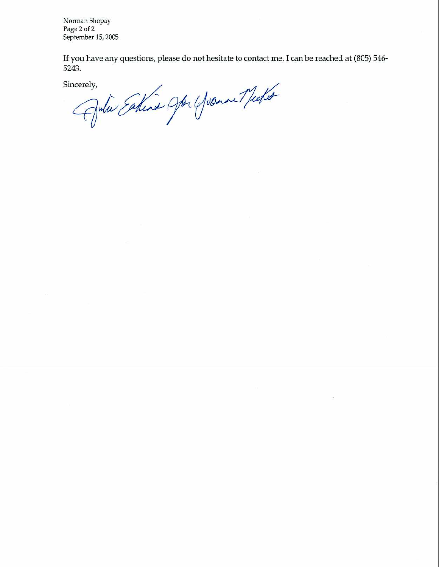Norman Shopay Page 2 of 2 September 15, 2005

If you have any questions, please do not hesitate to contact me. I can be reached at (805) 546-5243.

Sincerely,

Julie Estina Jor Yvonne Mecker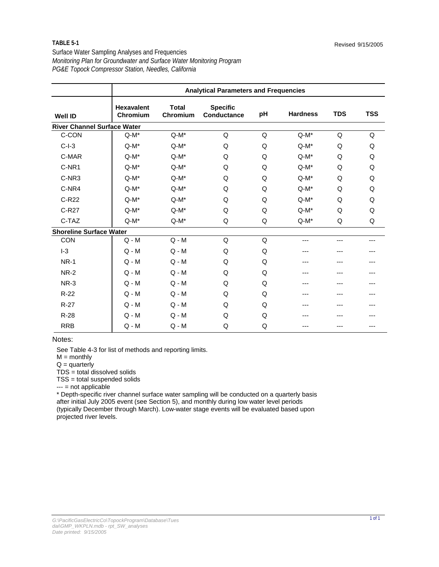## **TABLE 5-1**

Surface Water Sampling Analyses and Frequencies *PG&E Topock Compressor Station, Needles, California Monitoring Plan for Groundwater and Surface Water Monitoring Program*

|                                    | <b>Analytical Parameters and Frequencies</b> |                          |                                |    |                 |            |            |
|------------------------------------|----------------------------------------------|--------------------------|--------------------------------|----|-----------------|------------|------------|
| <b>Well ID</b>                     | <b>Hexavalent</b><br>Chromium                | <b>Total</b><br>Chromium | <b>Specific</b><br>Conductance | pH | <b>Hardness</b> | <b>TDS</b> | <b>TSS</b> |
| <b>River Channel Surface Water</b> |                                              |                          |                                |    |                 |            |            |
| C-CON                              | $Q-M^*$                                      | $Q-M^*$                  | Q                              | Q  | $Q-M^*$         | Q          | Q          |
| $C-I-3$                            | $Q-M^*$                                      | $Q-M^*$                  | Q                              | Q  | $Q-M^*$         | Q          | Q          |
| C-MAR                              | $Q-M^*$                                      | $Q-M^*$                  | Q                              | Q  | $Q-M^*$         | Q          | Q          |
| C-NR1                              | $Q-M^*$                                      | $Q-M^*$                  | Q                              | Q  | $Q-M^*$         | Q          | Q          |
| C-NR3                              | $Q-M^*$                                      | $Q-M^*$                  | Q                              | Q  | $Q-M^*$         | Q          | Q          |
| C-NR4                              | $Q-M^*$                                      | $Q-M^*$                  | Q                              | Q  | $Q-M^*$         | Q          | Q          |
| C-R22                              | $Q-M^*$                                      | $Q-M^*$                  | Q                              | Q  | $Q-M^*$         | Q          | Q          |
| C-R27                              | $Q-M^*$                                      | $Q-M^*$                  | Q                              | Q  | $Q-M^*$         | Q          | Q          |
| C-TAZ                              | $Q-M^*$                                      | $Q-M^*$                  | Q                              | Q  | $Q-M^*$         | Q          | Q          |
| <b>Shoreline Surface Water</b>     |                                              |                          |                                |    |                 |            |            |
| CON                                | $Q - M$                                      | $Q - M$                  | Q                              | Q  | ---             | ---        | ---        |
| $I-3$                              | $Q - M$                                      | $Q - M$                  | Q                              | Q  | ---             | ---        |            |
| <b>NR-1</b>                        | $Q - M$                                      | $Q - M$                  | Q                              | Q  | ---             | ---        |            |
| <b>NR-2</b>                        | $Q - M$                                      | $Q - M$                  | Q                              | Q  | ---             | ---        |            |
| NR-3                               | $Q - M$                                      | $Q - M$                  | Q                              | Q  |                 |            |            |
| $R-22$                             | $Q - M$                                      | $Q - M$                  | Q                              | Q  |                 | ---        |            |
| $R-27$                             | $Q - M$                                      | $Q - M$                  | Q                              | Q  | ---             |            |            |
| $R-28$                             | $Q - M$                                      | $Q - M$                  | Q                              | Q  |                 |            |            |
| <b>RRB</b>                         | $Q - M$                                      | $Q - M$                  | Q                              | Q  | ---             |            |            |

Notes:

See Table 4-3 for list of methods and reporting limits.

 $M =$  monthly

 $Q =$  quarterly

TDS = total dissolved solids

TSS = total suspended solids

 $--$  = not applicable

\* Depth-specific river channel surface water sampling will be conducted on a quarterly basis after initial July 2005 event (see Section 5), and monthly during low water level periods (typically December through March). Low-water stage events will be evaluated based upon projected river levels.